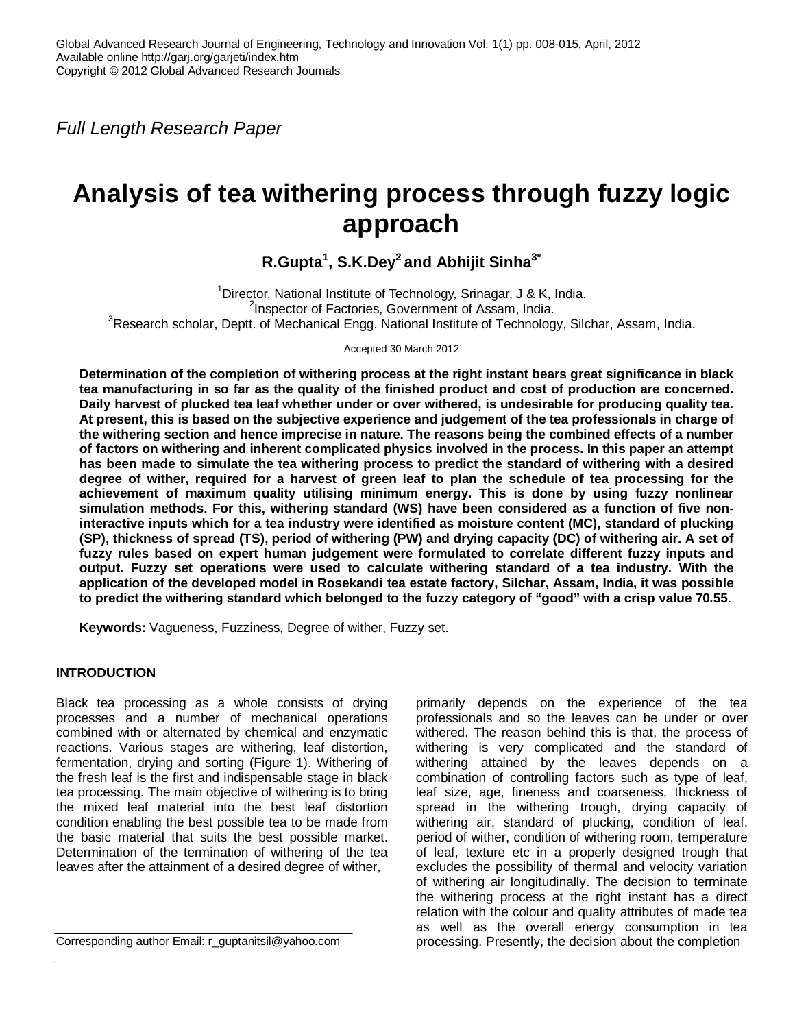*Full Length Research Paper*

# **Analysis of tea withering process through fuzzy logic approach**

# **R.Gupta<sup>1</sup> , S.K.Dey<sup>2</sup>and Abhijit Sinha3\***

<sup>1</sup>Director, National Institute of Technology, Srinagar, J & K, India. <sup>2</sup>Inspector of Factories, Government of Assam, India. <sup>3</sup>Research scholar, Deptt. of Mechanical Engg. National Institute of Technology, Silchar, Assam, India.

Accepted 30 March 2012

**Determination of the completion of withering process at the right instant bears great significance in black tea manufacturing in so far as the quality of the finished product and cost of production are concerned. Daily harvest of plucked tea leaf whether under or over withered, is undesirable for producing quality tea. At present, this is based on the subjective experience and judgement of the tea professionals in charge of the withering section and hence imprecise in nature. The reasons being the combined effects of a number of factors on withering and inherent complicated physics involved in the process. In this paper an attempt has been made to simulate the tea withering process to predict the standard of withering with a desired degree of wither, required for a harvest of green leaf to plan the schedule of tea processing for the achievement of maximum quality utilising minimum energy. This is done by using fuzzy nonlinear simulation methods. For this, withering standard (WS) have been considered as a function of five noninteractive inputs which for a tea industry were identified as moisture content (MC), standard of plucking (SP), thickness of spread (TS), period of withering (PW) and drying capacity (DC) of withering air. A set of fuzzy rules based on expert human judgement were formulated to correlate different fuzzy inputs and output. Fuzzy set operations were used to calculate withering standard of a tea industry. With the application of the developed model in Rosekandi tea estate factory, Silchar, Assam, India, it was possible to predict the withering standard which belonged to the fuzzy category of "good" with a crisp value 70.55**.

**Keywords:** Vagueness, Fuzziness, Degree of wither, Fuzzy set.

# **INTRODUCTION**

Black tea processing as a whole consists of drying processes and a number of mechanical operations combined with or alternated by chemical and enzymatic reactions. Various stages are withering, leaf distortion, fermentation, drying and sorting (Figure 1). Withering of the fresh leaf is the first and indispensable stage in black tea processing. The main objective of withering is to bring the mixed leaf material into the best leaf distortion condition enabling the best possible tea to be made from the basic material that suits the best possible market. Determination of the termination of withering of the tea leaves after the attainment of a desired degree of wither,

primarily depends on the experience of the tea professionals and so the leaves can be under or over withered. The reason behind this is that, the process of withering is very complicated and the standard of withering attained by the leaves depends on a combination of controlling factors such as type of leaf, leaf size, age, fineness and coarseness, thickness of spread in the withering trough, drying capacity of withering air, standard of plucking, condition of leaf, period of wither, condition of withering room, temperature of leaf, texture etc in a properly designed trough that excludes the possibility of thermal and velocity variation of withering air longitudinally. The decision to terminate the withering process at the right instant has a direct relation with the colour and quality attributes of made tea as well as the overall energy consumption in tea processing. Presently, the decision about the completion

Corresponding author Email: r\_guptanitsil@yahoo.com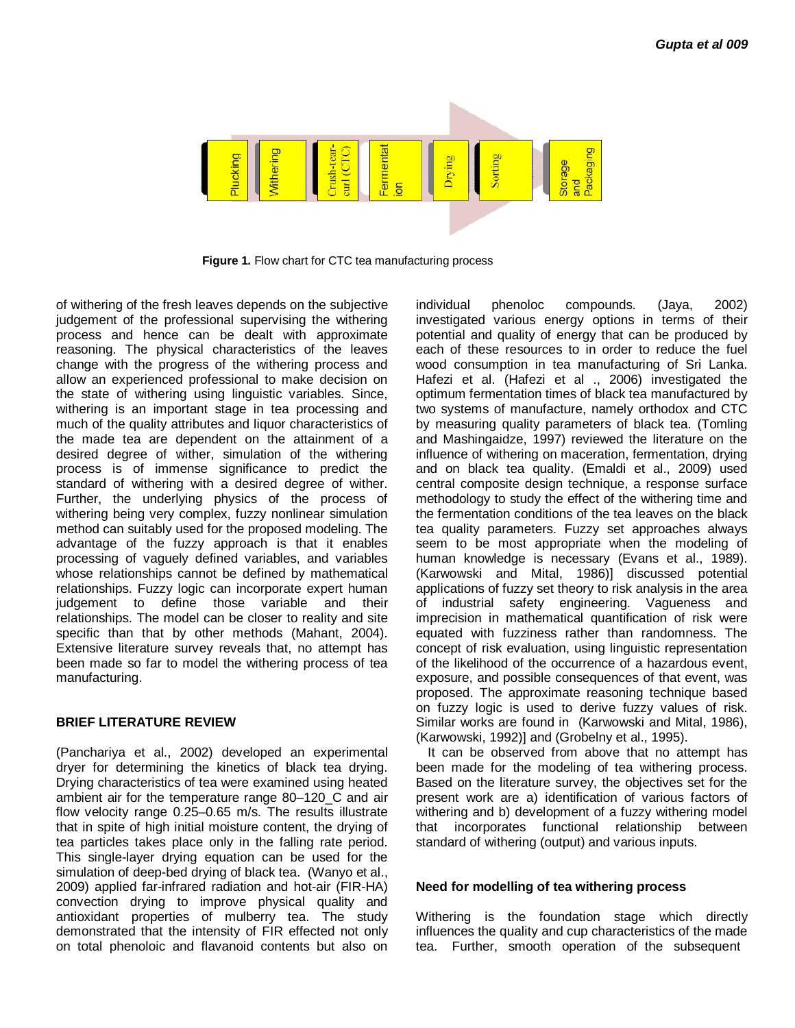

**Figure 1.** Flow chart for CTC tea manufacturing process

of withering of the fresh leaves depends on the subjective judgement of the professional supervising the withering process and hence can be dealt with approximate reasoning. The physical characteristics of the leaves change with the progress of the withering process and allow an experienced professional to make decision on the state of withering using linguistic variables. Since, withering is an important stage in tea processing and much of the quality attributes and liquor characteristics of the made tea are dependent on the attainment of a desired degree of wither, simulation of the withering process is of immense significance to predict the standard of withering with a desired degree of wither. Further, the underlying physics of the process of withering being very complex, fuzzy nonlinear simulation method can suitably used for the proposed modeling. The advantage of the fuzzy approach is that it enables processing of vaguely defined variables, and variables whose relationships cannot be defined by mathematical relationships. Fuzzy logic can incorporate expert human judgement to define those variable and their relationships. The model can be closer to reality and site specific than that by other methods (Mahant, 2004). Extensive literature survey reveals that, no attempt has been made so far to model the withering process of tea manufacturing.

### **BRIEF LITERATURE REVIEW**

(Panchariya et al., 2002) developed an experimental dryer for determining the kinetics of black tea drying. Drying characteristics of tea were examined using heated ambient air for the temperature range 80–120\_C and air flow velocity range 0.25–0.65 m/s. The results illustrate that in spite of high initial moisture content, the drying of tea particles takes place only in the falling rate period. This single-layer drying equation can be used for the simulation of deep-bed drying of black tea. (Wanyo et al., 2009) applied far-infrared radiation and hot-air (FIR-HA) convection drying to improve physical quality and antioxidant properties of mulberry tea. The study demonstrated that the intensity of FIR effected not only on total phenoloic and flavanoid contents but also on

individual phenoloc compounds. (Jaya, 2002) investigated various energy options in terms of their potential and quality of energy that can be produced by each of these resources to in order to reduce the fuel wood consumption in tea manufacturing of Sri Lanka. Hafezi et al. (Hafezi et al ., 2006) investigated the optimum fermentation times of black tea manufactured by two systems of manufacture, namely orthodox and CTC by measuring quality parameters of black tea. (Tomling and Mashingaidze, 1997) reviewed the literature on the influence of withering on maceration, fermentation, drying and on black tea quality. (Emaldi et al., 2009) used central composite design technique, a response surface methodology to study the effect of the withering time and the fermentation conditions of the tea leaves on the black tea quality parameters. Fuzzy set approaches always seem to be most appropriate when the modeling of human knowledge is necessary (Evans et al., 1989). (Karwowski and Mital, 1986)] discussed potential applications of fuzzy set theory to risk analysis in the area of industrial safety engineering. Vagueness and imprecision in mathematical quantification of risk were equated with fuzziness rather than randomness. The concept of risk evaluation, using linguistic representation of the likelihood of the occurrence of a hazardous event, exposure, and possible consequences of that event, was proposed. The approximate reasoning technique based on fuzzy logic is used to derive fuzzy values of risk. Similar works are found in (Karwowski and Mital, 1986), (Karwowski, 1992)] and (Grobelny et al., 1995).

It can be observed from above that no attempt has been made for the modeling of tea withering process. Based on the literature survey, the objectives set for the present work are a) identification of various factors of withering and b) development of a fuzzy withering model that incorporates functional relationship between standard of withering (output) and various inputs.

# **Need for modelling of tea withering process**

Withering is the foundation stage which directly influences the quality and cup characteristics of the made tea. Further, smooth operation of the subsequent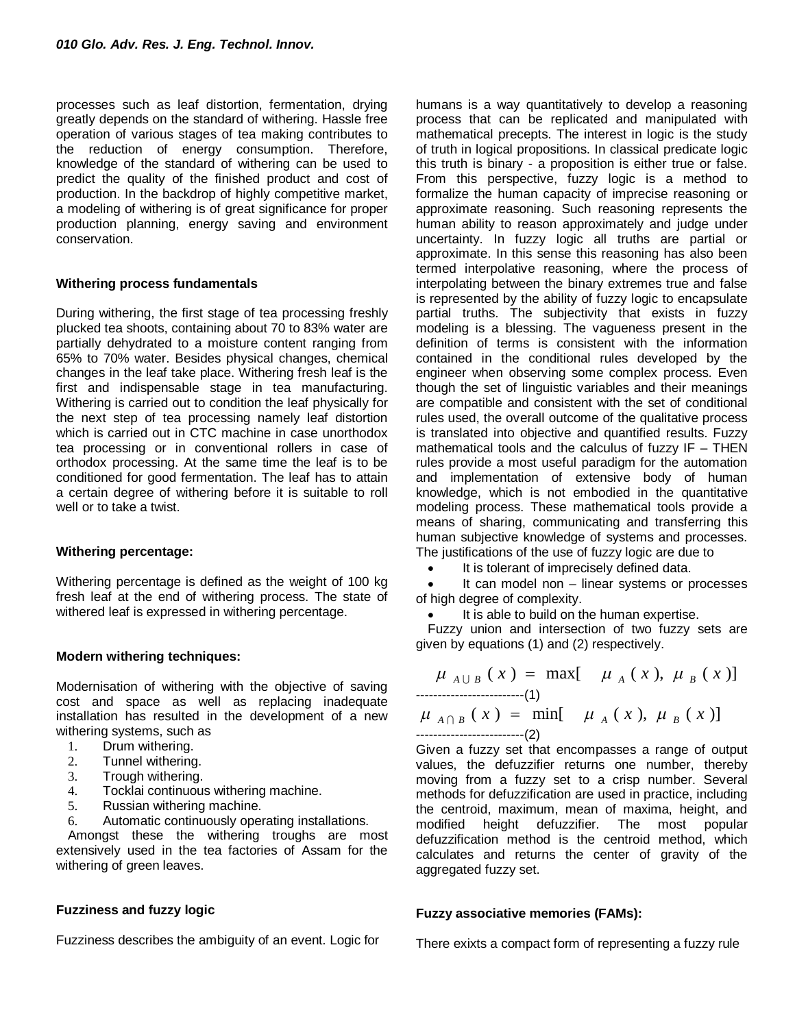processes such as leaf distortion, fermentation, drying greatly depends on the standard of withering. Hassle free operation of various stages of tea making contributes to the reduction of energy consumption. Therefore, knowledge of the standard of withering can be used to predict the quality of the finished product and cost of production. In the backdrop of highly competitive market, a modeling of withering is of great significance for proper production planning, energy saving and environment conservation.

# **Withering process fundamentals**

During withering, the first stage of tea processing freshly plucked tea shoots, containing about 70 to 83% water are partially dehydrated to a moisture content ranging from 65% to 70% water. Besides physical changes, chemical changes in the leaf take place. Withering fresh leaf is the first and indispensable stage in tea manufacturing. Withering is carried out to condition the leaf physically for the next step of tea processing namely leaf distortion which is carried out in CTC machine in case unorthodox tea processing or in conventional rollers in case of orthodox processing. At the same time the leaf is to be conditioned for good fermentation. The leaf has to attain a certain degree of withering before it is suitable to roll well or to take a twist.

# **Withering percentage:**

Withering percentage is defined as the weight of 100 kg fresh leaf at the end of withering process. The state of withered leaf is expressed in withering percentage.

# **Modern withering techniques:**

Modernisation of withering with the objective of saving cost and space as well as replacing inadequate installation has resulted in the development of a new withering systems, such as

- 1. Drum withering.
- 2. Tunnel withering.
- 3. Trough withering.
- 4. Tocklai continuous withering machine.
- 5. Russian withering machine.
- 6. Automatic continuously operating installations.

Amongst these the withering troughs are most extensively used in the tea factories of Assam for the withering of green leaves.

# **Fuzziness and fuzzy logic**

Fuzziness describes the ambiguity of an event. Logic for

humans is a way quantitatively to develop a reasoning process that can be replicated and manipulated with mathematical precepts. The interest in logic is the study of truth in logical propositions. In classical predicate logic this truth is binary - a proposition is either true or false. From this perspective, fuzzy logic is a method to formalize the human capacity of imprecise reasoning or approximate reasoning. Such reasoning represents the human ability to reason approximately and judge under uncertainty. In fuzzy logic all truths are partial or approximate. In this sense this reasoning has also been termed interpolative reasoning, where the process of interpolating between the binary extremes true and false is represented by the ability of fuzzy logic to encapsulate partial truths. The subjectivity that exists in fuzzy modeling is a blessing. The vagueness present in the definition of terms is consistent with the information contained in the conditional rules developed by the engineer when observing some complex process. Even though the set of linguistic variables and their meanings are compatible and consistent with the set of conditional rules used, the overall outcome of the qualitative process is translated into objective and quantified results. Fuzzy mathematical tools and the calculus of fuzzy  $IF - THEN$ rules provide a most useful paradigm for the automation and implementation of extensive body of human knowledge, which is not embodied in the quantitative modeling process. These mathematical tools provide a means of sharing, communicating and transferring this human subjective knowledge of systems and processes. The justifications of the use of fuzzy logic are due to

It is tolerant of imprecisely defined data.

 It can model non – linear systems or processes of high degree of complexity.

It is able to build on the human expertise.

Fuzzy union and intersection of two fuzzy sets are given by equations (1) and (2) respectively.

$$
\mu_{A \cup B} (x) = \max [\mu_A (x), \mu_B (x)]
$$
  
........  

$$
\mu_{A \cap B} (x) = \min [\mu_A (x), \mu_B (x)]
$$
  
........  
........  
...  
........  
(2)

Given a fuzzy set that encompasses a range of output values, the defuzzifier returns one number, thereby moving from a fuzzy set to a crisp number. Several methods for defuzzification are used in practice, including the centroid, maximum, mean of maxima, height, and modified height defuzzifier. The most popular defuzzification method is the centroid method, which calculates and returns the center of gravity of the aggregated fuzzy set.

# **Fuzzy associative memories (FAMs):**

There exixts a compact form of representing a fuzzy rule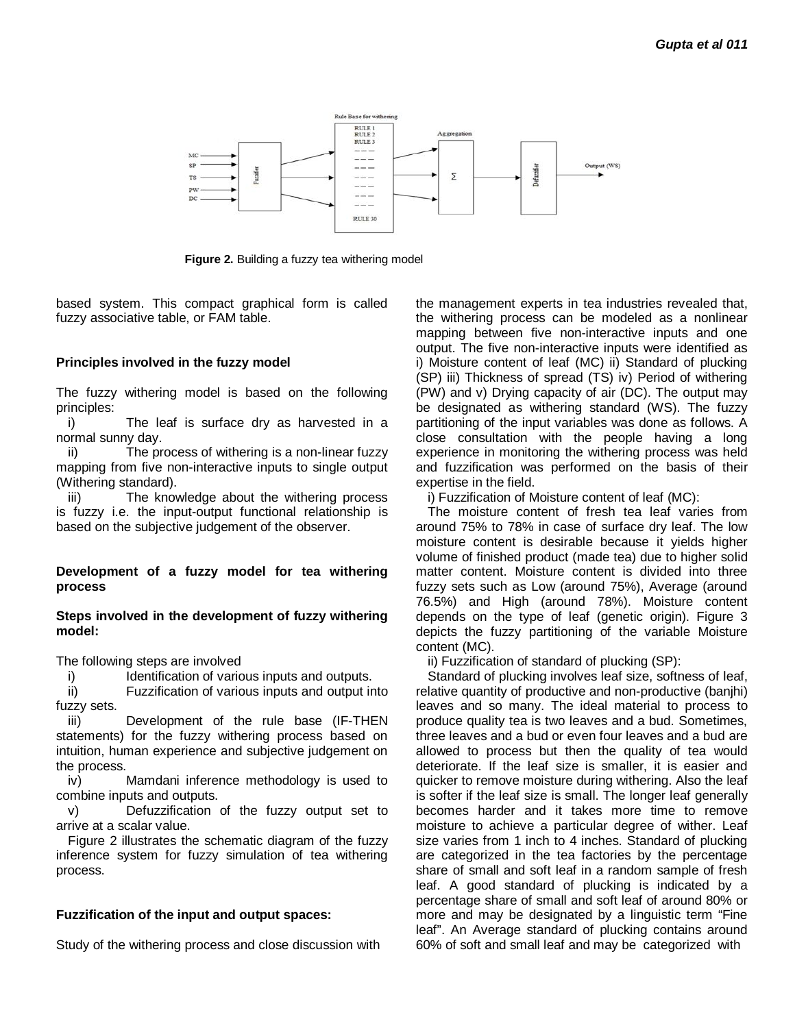

**Figure 2.** Building a fuzzy tea withering model

based system. This compact graphical form is called fuzzy associative table, or FAM table.

### **Principles involved in the fuzzy model**

The fuzzy withering model is based on the following principles:

i) The leaf is surface dry as harvested in a normal sunny day.

ii) The process of withering is a non-linear fuzzy mapping from five non-interactive inputs to single output (Withering standard).

iii) The knowledge about the withering process is fuzzy i.e. the input-output functional relationship is based on the subjective judgement of the observer.

# **Development of a fuzzy model for tea withering process**

#### **Steps involved in the development of fuzzy withering model:**

The following steps are involved

i) Identification of various inputs and outputs.

ii) Fuzzification of various inputs and output into fuzzy sets.

iii) Development of the rule base (IF-THEN statements) for the fuzzy withering process based on intuition, human experience and subjective judgement on the process.

iv) Mamdani inference methodology is used to combine inputs and outputs.

v) Defuzzification of the fuzzy output set to arrive at a scalar value.

Figure 2 illustrates the schematic diagram of the fuzzy inference system for fuzzy simulation of tea withering process.

### **Fuzzification of the input and output spaces:**

Study of the withering process and close discussion with

the management experts in tea industries revealed that, the withering process can be modeled as a nonlinear mapping between five non-interactive inputs and one output. The five non-interactive inputs were identified as i) Moisture content of leaf (MC) ii) Standard of plucking (SP) iii) Thickness of spread (TS) iv) Period of withering (PW) and v) Drying capacity of air (DC). The output may be designated as withering standard (WS). The fuzzy partitioning of the input variables was done as follows. A close consultation with the people having a long experience in monitoring the withering process was held and fuzzification was performed on the basis of their expertise in the field.

i) Fuzzification of Moisture content of leaf (MC):

The moisture content of fresh tea leaf varies from around 75% to 78% in case of surface dry leaf. The low moisture content is desirable because it yields higher volume of finished product (made tea) due to higher solid matter content. Moisture content is divided into three fuzzy sets such as Low (around 75%), Average (around 76.5%) and High (around 78%). Moisture content depends on the type of leaf (genetic origin). Figure 3 depicts the fuzzy partitioning of the variable Moisture content (MC).

ii) Fuzzification of standard of plucking (SP):

Standard of plucking involves leaf size, softness of leaf, relative quantity of productive and non-productive (banjhi) leaves and so many. The ideal material to process to produce quality tea is two leaves and a bud. Sometimes, three leaves and a bud or even four leaves and a bud are allowed to process but then the quality of tea would deteriorate. If the leaf size is smaller, it is easier and quicker to remove moisture during withering. Also the leaf is softer if the leaf size is small. The longer leaf generally becomes harder and it takes more time to remove moisture to achieve a particular degree of wither. Leaf size varies from 1 inch to 4 inches. Standard of plucking are categorized in the tea factories by the percentage share of small and soft leaf in a random sample of fresh leaf. A good standard of plucking is indicated by a percentage share of small and soft leaf of around 80% or more and may be designated by a linguistic term "Fine leaf". An Average standard of plucking contains around 60% of soft and small leaf and may be categorized with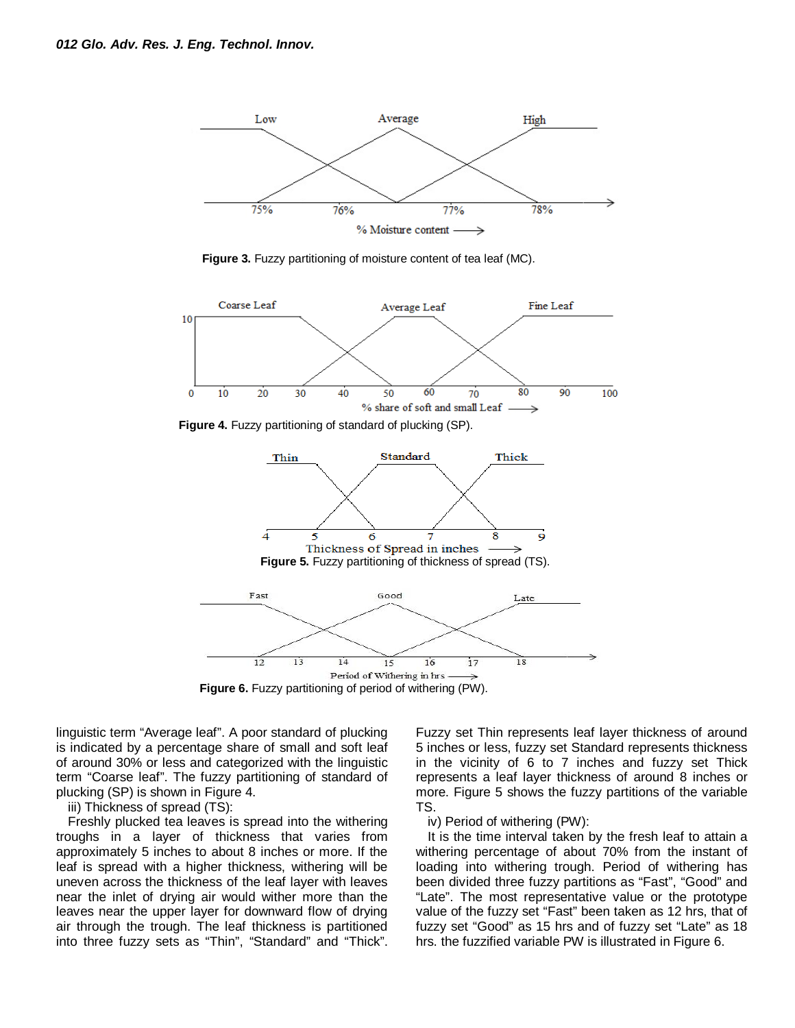

**Figure 3.** Fuzzy partitioning of moisture content of tea leaf (MC).





linguistic term "Average leaf". A poor standard of plucking is indicated by a percentage share of small and soft leaf of around 30% or less and categorized with the linguistic term "Coarse leaf". The fuzzy partitioning of standard of plucking (SP) is shown in Figure 4.

iii) Thickness of spread (TS):

Freshly plucked tea leaves is spread into the withering troughs in a layer of thickness that varies from approximately 5 inches to about 8 inches or more. If the leaf is spread with a higher thickness, withering will be uneven across the thickness of the leaf layer with leaves near the inlet of drying air would wither more than the leaves near the upper layer for downward flow of drying air through the trough. The leaf thickness is partitioned into three fuzzy sets as "Thin", "Standard" and "Thick".

Fuzzy set Thin represents leaf layer thickness of around 5 inches or less, fuzzy set Standard represents thickness in the vicinity of 6 to 7 inches and fuzzy set Thick represents a leaf layer thickness of around 8 inches or more. Figure 5 shows the fuzzy partitions of the variable TS.

### iv) Period of withering (PW):

It is the time interval taken by the fresh leaf to attain a withering percentage of about 70% from the instant of loading into withering trough. Period of withering has been divided three fuzzy partitions as "Fast", "Good" and "Late". The most representative value or the prototype value of the fuzzy set "Fast" been taken as 12 hrs, that of fuzzy set "Good" as 15 hrs and of fuzzy set "Late" as 18 hrs. the fuzzified variable PW is illustrated in Figure 6.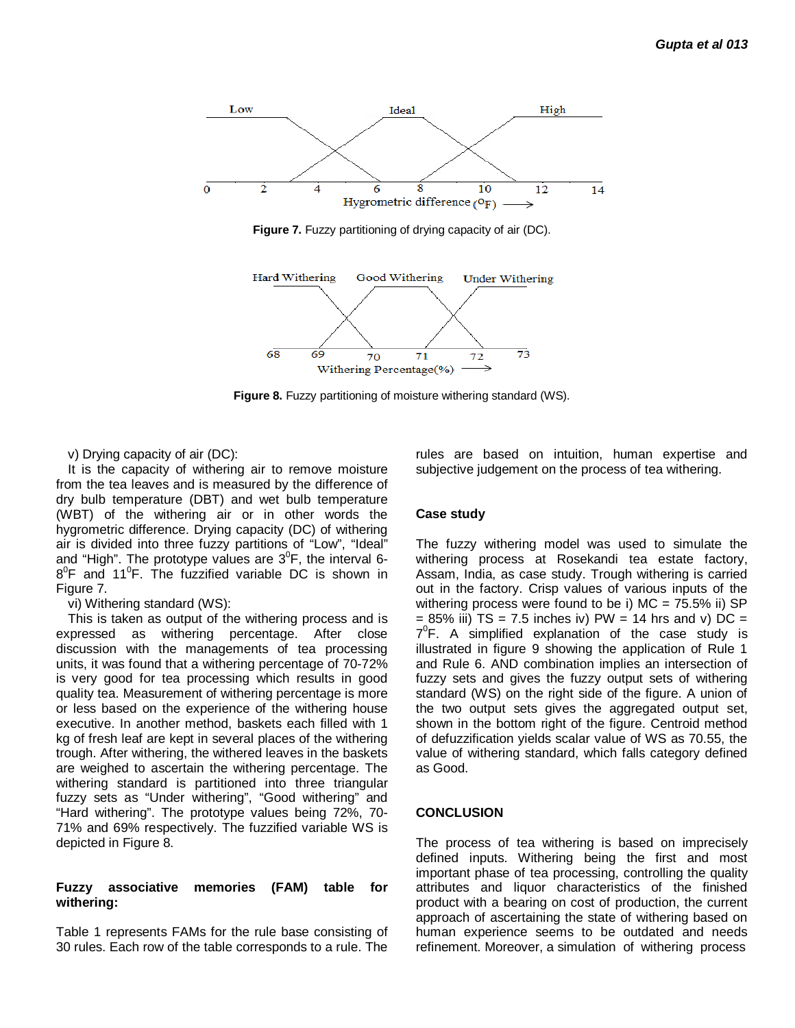

**Figure 7.** Fuzzy partitioning of drying capacity of air (DC).



**Figure 8.** Fuzzy partitioning of moisture withering standard (WS).

v) Drying capacity of air (DC):

It is the capacity of withering air to remove moisture from the tea leaves and is measured by the difference of dry bulb temperature (DBT) and wet bulb temperature (WBT) of the withering air or in other words the hygrometric difference. Drying capacity (DC) of withering air is divided into three fuzzy partitions of "Low", "Ideal" and "High". The prototype values are  $3^{0}$ F, the interval 6- $8^{\circ}$ F and 11<sup>°</sup>F. The fuzzified variable DC is shown in Figure 7.

### vi) Withering standard (WS):

This is taken as output of the withering process and is expressed as withering percentage. After close discussion with the managements of tea processing units, it was found that a withering percentage of 70-72% is very good for tea processing which results in good quality tea. Measurement of withering percentage is more or less based on the experience of the withering house executive. In another method, baskets each filled with 1 kg of fresh leaf are kept in several places of the withering trough. After withering, the withered leaves in the baskets are weighed to ascertain the withering percentage. The withering standard is partitioned into three triangular fuzzy sets as "Under withering", "Good withering" and "Hard withering". The prototype values being 72%, 70- 71% and 69% respectively. The fuzzified variable WS is depicted in Figure 8.

# **Fuzzy associative memories (FAM) table for withering:**

Table 1 represents FAMs for the rule base consisting of 30 rules. Each row of the table corresponds to a rule. The rules are based on intuition, human expertise and subjective judgement on the process of tea withering.

### **Case study**

The fuzzy withering model was used to simulate the withering process at Rosekandi tea estate factory, Assam, India, as case study. Trough withering is carried out in the factory. Crisp values of various inputs of the withering process were found to be i)  $MC = 75.5\%$  ii) SP  $= 85\%$  iii) TS = 7.5 inches iv) PW = 14 hrs and v) DC =  $7^{\circ}$ F. A simplified explanation of the case study is illustrated in figure 9 showing the application of Rule 1 and Rule 6. AND combination implies an intersection of fuzzy sets and gives the fuzzy output sets of withering standard (WS) on the right side of the figure. A union of the two output sets gives the aggregated output set, shown in the bottom right of the figure. Centroid method of defuzzification yields scalar value of WS as 70.55, the value of withering standard, which falls category defined as Good.

### **CONCLUSION**

The process of tea withering is based on imprecisely defined inputs. Withering being the first and most important phase of tea processing, controlling the quality attributes and liquor characteristics of the finished product with a bearing on cost of production, the current approach of ascertaining the state of withering based on human experience seems to be outdated and needs refinement. Moreover, a simulation of withering process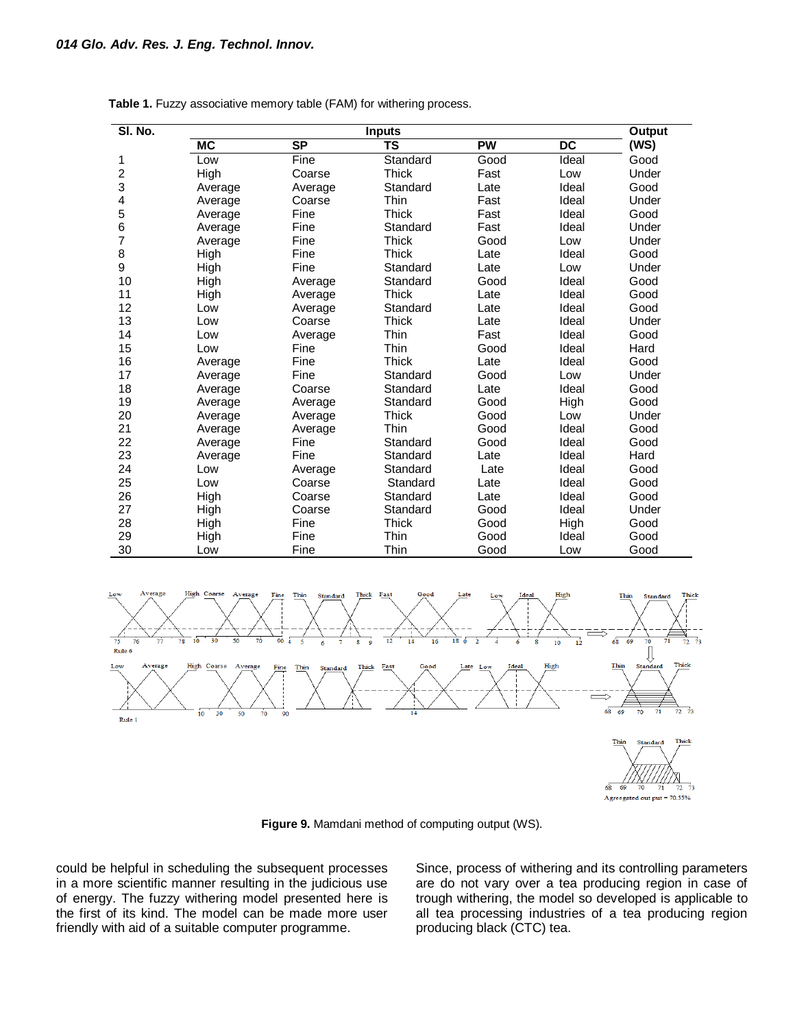| SI. No. | <b>Inputs</b> |           |              |           |                 | Output |
|---------|---------------|-----------|--------------|-----------|-----------------|--------|
|         | <b>MC</b>     | <b>SP</b> | <b>TS</b>    | <b>PW</b> | $\overline{DC}$ | (WS)   |
| 1       | Low           | Fine      | Standard     | Good      | Ideal           | Good   |
| 2       | High          | Coarse    | Thick        | Fast      | Low             | Under  |
| 3       | Average       | Average   | Standard     | Late      | Ideal           | Good   |
| 4       | Average       | Coarse    | Thin         | Fast      | Ideal           | Under  |
| 5       | Average       | Fine      | Thick        | Fast      | Ideal           | Good   |
| 6       | Average       | Fine      | Standard     | Fast      | Ideal           | Under  |
| 7       | Average       | Fine      | <b>Thick</b> | Good      | Low             | Under  |
| 8       | High          | Fine      | <b>Thick</b> | Late      | Ideal           | Good   |
| 9       | High          | Fine      | Standard     | Late      | Low             | Under  |
| 10      | High          | Average   | Standard     | Good      | Ideal           | Good   |
| 11      | High          | Average   | <b>Thick</b> | Late      | Ideal           | Good   |
| 12      | Low           | Average   | Standard     | Late      | Ideal           | Good   |
| 13      | Low           | Coarse    | <b>Thick</b> | Late      | Ideal           | Under  |
| 14      | Low           | Average   | Thin         | Fast      | Ideal           | Good   |
| 15      | Low           | Fine      | <b>Thin</b>  | Good      | Ideal           | Hard   |
| 16      | Average       | Fine      | Thick        | Late      | Ideal           | Good   |
| 17      | Average       | Fine      | Standard     | Good      | Low             | Under  |
| 18      | Average       | Coarse    | Standard     | Late      | Ideal           | Good   |
| 19      | Average       | Average   | Standard     | Good      | High            | Good   |
| 20      | Average       | Average   | Thick        | Good      | Low             | Under  |
| 21      | Average       | Average   | Thin         | Good      | Ideal           | Good   |
| 22      | Average       | Fine      | Standard     | Good      | Ideal           | Good   |
| 23      | Average       | Fine      | Standard     | Late      | Ideal           | Hard   |
| 24      | Low           | Average   | Standard     | Late      | Ideal           | Good   |
| 25      | Low           | Coarse    | Standard     | Late      | Ideal           | Good   |
| 26      | High          | Coarse    | Standard     | Late      | Ideal           | Good   |
| 27      | High          | Coarse    | Standard     | Good      | Ideal           | Under  |
| 28      | High          | Fine      | <b>Thick</b> | Good      | High            | Good   |
| 29      | High          | Fine      | Thin         | Good      | Ideal           | Good   |
| 30      | Low           | Fine      | Thin         | Good      | Low             | Good   |

|  |  |  | Table 1. Fuzzy associative memory table (FAM) for withering process. |
|--|--|--|----------------------------------------------------------------------|
|--|--|--|----------------------------------------------------------------------|



**Figure 9.** Mamdani method of computing output (WS).

could be helpful in scheduling the subsequent processes in a more scientific manner resulting in the judicious use of energy. The fuzzy withering model presented here is the first of its kind. The model can be made more user friendly with aid of a suitable computer programme.

Since, process of withering and its controlling parameters are do not vary over a tea producing region in case of trough withering, the model so developed is applicable to all tea processing industries of a tea producing region producing black (CTC) tea.